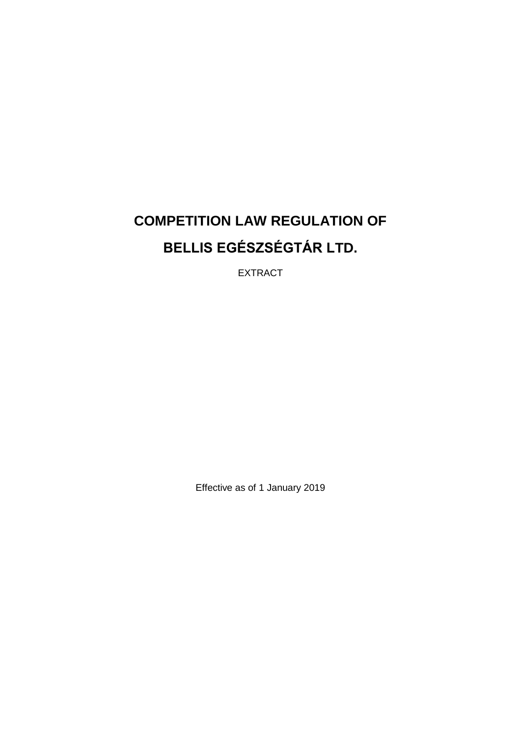# **COMPETITION LAW REGULATION OF BELLIS EGÉSZSÉGTÁR LTD.**

EXTRACT

Effective as of 1 January 2019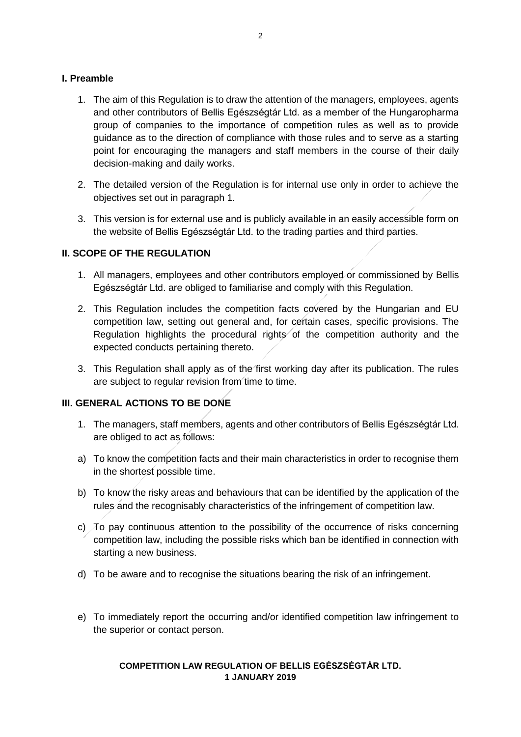#### **I. Preamble**

- 1. The aim of this Regulation is to draw the attention of the managers, employees, agents and other contributors of Bellis Egészségtár Ltd. as a member of the Hungaropharma group of companies to the importance of competition rules as well as to provide guidance as to the direction of compliance with those rules and to serve as a starting point for encouraging the managers and staff members in the course of their daily decision-making and daily works.
- 2. The detailed version of the Regulation is for internal use only in order to achieve the objectives set out in paragraph 1.
- 3. This version is for external use and is publicly available in an easily accessible form on the website of Bellis Egészségtár Ltd. to the trading parties and third parties.

# **II. SCOPE OF THE REGULATION**

- 1. All managers, employees and other contributors employed or commissioned by Bellis Egészségtár Ltd. are obliged to familiarise and comply with this Regulation.
- 2. This Regulation includes the competition facts covered by the Hungarian and EU competition law, setting out general and, for certain cases, specific provisions. The Regulation highlights the procedural rights of the competition authority and the expected conducts pertaining thereto.
- 3. This Regulation shall apply as of the first working day after its publication. The rules are subject to regular revision from time to time.

#### **III. GENERAL ACTIONS TO BE DONE**

- 1. The managers, staff members, agents and other contributors of Bellis Egészségtár Ltd. are obliged to act as follows:
- a) To know the competition facts and their main characteristics in order to recognise them in the shortest possible time.
- b) To know the risky areas and behaviours that can be identified by the application of the rules and the recognisably characteristics of the infringement of competition law.
- c) To pay continuous attention to the possibility of the occurrence of risks concerning competition law, including the possible risks which ban be identified in connection with starting a new business.
- d) To be aware and to recognise the situations bearing the risk of an infringement.
- e) To immediately report the occurring and/or identified competition law infringement to the superior or contact person.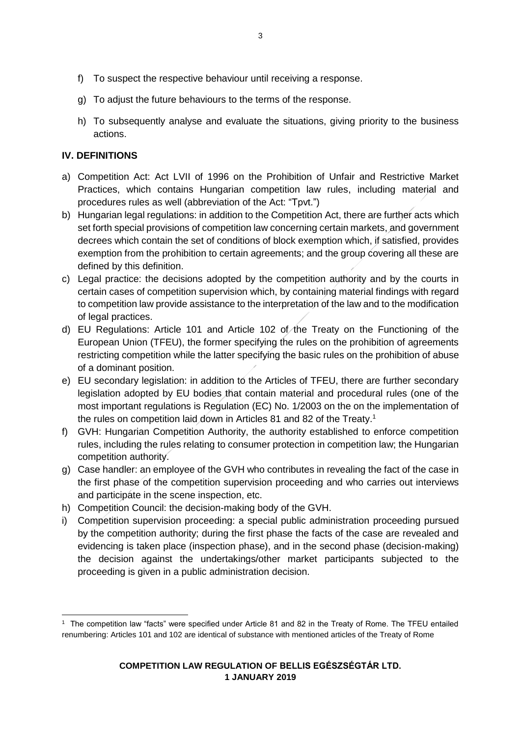- g) To adjust the future behaviours to the terms of the response.
- h) To subsequently analyse and evaluate the situations, giving priority to the business actions.

# **IV. DEFINITIONS**

- a) Competition Act: Act LVII of 1996 on the Prohibition of Unfair and Restrictive Market Practices, which contains Hungarian competition law rules, including material and procedures rules as well (abbreviation of the Act: "Tpvt.")
- b) Hungarian legal regulations: in addition to the Competition Act, there are further acts which set forth special provisions of competition law concerning certain markets, and government decrees which contain the set of conditions of block exemption which, if satisfied, provides exemption from the prohibition to certain agreements; and the group covering all these are defined by this definition.
- c) Legal practice: the decisions adopted by the competition authority and by the courts in certain cases of competition supervision which, by containing material findings with regard to competition law provide assistance to the interpretation of the law and to the modification of legal practices.
- d) EU Regulations: Article 101 and Article 102 of the Treaty on the Functioning of the European Union (TFEU), the former specifying the rules on the prohibition of agreements restricting competition while the latter specifying the basic rules on the prohibition of abuse of a dominant position.
- e) EU secondary legislation: in addition to the Articles of TFEU, there are further secondary legislation adopted by EU bodies that contain material and procedural rules (one of the most important regulations is Regulation (EC) No. 1/2003 on the on the implementation of the rules on competition laid down in Articles 81 and 82 of the Treaty.<sup>1</sup>
- f) GVH: Hungarian Competition Authority, the authority established to enforce competition rules, including the rules relating to consumer protection in competition law; the Hungarian competition authority.
- g) Case handler: an employee of the GVH who contributes in revealing the fact of the case in the first phase of the competition supervision proceeding and who carries out interviews and participate in the scene inspection, etc.
- h) Competition Council: the decision-making body of the GVH.
- i) Competition supervision proceeding: a special public administration proceeding pursued by the competition authority; during the first phase the facts of the case are revealed and evidencing is taken place (inspection phase), and in the second phase (decision-making) the decision against the undertakings/other market participants subjected to the proceeding is given in a public administration decision.

**<sup>.</sup>** 1 The competition law "facts" were specified under Article 81 and 82 in the Treaty of Rome. The TFEU entailed renumbering: Articles 101 and 102 are identical of substance with mentioned articles of the Treaty of Rome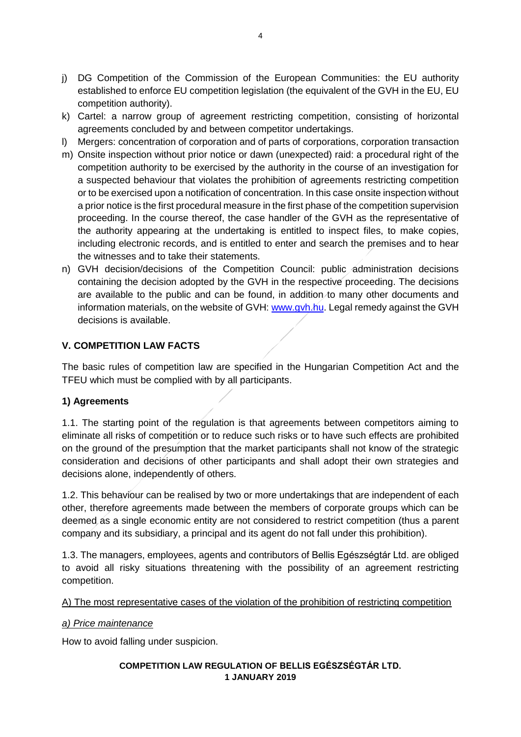- j) DG Competition of the Commission of the European Communities: the EU authority established to enforce EU competition legislation (the equivalent of the GVH in the EU, EU competition authority).
- k) Cartel: a narrow group of agreement restricting competition, consisting of horizontal agreements concluded by and between competitor undertakings.
- l) Mergers: concentration of corporation and of parts of corporations, corporation transaction
- m) Onsite inspection without prior notice or dawn (unexpected) raid: a procedural right of the competition authority to be exercised by the authority in the course of an investigation for a suspected behaviour that violates the prohibition of agreements restricting competition or to be exercised upon a notification of concentration. In this case onsite inspection without a prior notice is the first procedural measure in the first phase of the competition supervision proceeding. In the course thereof, the case handler of the GVH as the representative of the authority appearing at the undertaking is entitled to inspect files, to make copies, including electronic records, and is entitled to enter and search the premises and to hear the witnesses and to take their statements.
- n) GVH decision/decisions of the Competition Council: public administration decisions containing the decision adopted by the GVH in the respective proceeding. The decisions are available to the public and can be found, in addition to many other documents and information materials, on the website of GVH: [www.gvh.hu.](http://www.gvh.hu/) Legal remedy against the GVH decisions is available.

# **V. COMPETITION LAW FACTS**

The basic rules of competition law are specified in the Hungarian Competition Act and the TFEU which must be complied with by all participants.

#### **1) Agreements**

1.1. The starting point of the regulation is that agreements between competitors aiming to eliminate all risks of competition or to reduce such risks or to have such effects are prohibited on the ground of the presumption that the market participants shall not know of the strategic consideration and decisions of other participants and shall adopt their own strategies and decisions alone, independently of others.

1.2. This behaviour can be realised by two or more undertakings that are independent of each other, therefore agreements made between the members of corporate groups which can be deemed as a single economic entity are not considered to restrict competition (thus a parent company and its subsidiary, a principal and its agent do not fall under this prohibition).

1.3. The managers, employees, agents and contributors of Bellis Egészségtár Ltd. are obliged to avoid all risky situations threatening with the possibility of an agreement restricting competition.

#### A) The most representative cases of the violation of the prohibition of restricting competition

#### *a) Price maintenance*

How to avoid falling under suspicion.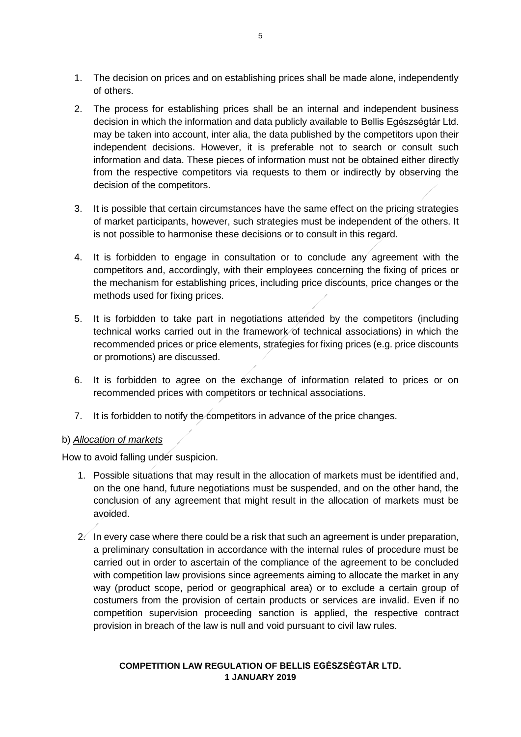- 1. The decision on prices and on establishing prices shall be made alone, independently of others.
- 2. The process for establishing prices shall be an internal and independent business decision in which the information and data publicly available to Bellis Egészségtár Ltd. may be taken into account, inter alia, the data published by the competitors upon their independent decisions. However, it is preferable not to search or consult such information and data. These pieces of information must not be obtained either directly from the respective competitors via requests to them or indirectly by observing the decision of the competitors.
- 3. It is possible that certain circumstances have the same effect on the pricing strategies of market participants, however, such strategies must be independent of the others. It is not possible to harmonise these decisions or to consult in this regard.
- 4. It is forbidden to engage in consultation or to conclude any agreement with the competitors and, accordingly, with their employees concerning the fixing of prices or the mechanism for establishing prices, including price discounts, price changes or the methods used for fixing prices.
- 5. It is forbidden to take part in negotiations attended by the competitors (including technical works carried out in the framework of technical associations) in which the recommended prices or price elements, strategies for fixing prices (e.g. price discounts or promotions) are discussed.
- 6. It is forbidden to agree on the exchange of information related to prices or on recommended prices with competitors or technical associations.
- 7. It is forbidden to notify the competitors in advance of the price changes.

#### b) *Allocation of markets*

How to avoid falling under suspicion.

- 1. Possible situations that may result in the allocation of markets must be identified and, on the one hand, future negotiations must be suspended, and on the other hand, the conclusion of any agreement that might result in the allocation of markets must be avoided.
- $2\ell$  In every case where there could be a risk that such an agreement is under preparation, a preliminary consultation in accordance with the internal rules of procedure must be carried out in order to ascertain of the compliance of the agreement to be concluded with competition law provisions since agreements aiming to allocate the market in any way (product scope, period or geographical area) or to exclude a certain group of costumers from the provision of certain products or services are invalid. Even if no competition supervision proceeding sanction is applied, the respective contract provision in breach of the law is null and void pursuant to civil law rules.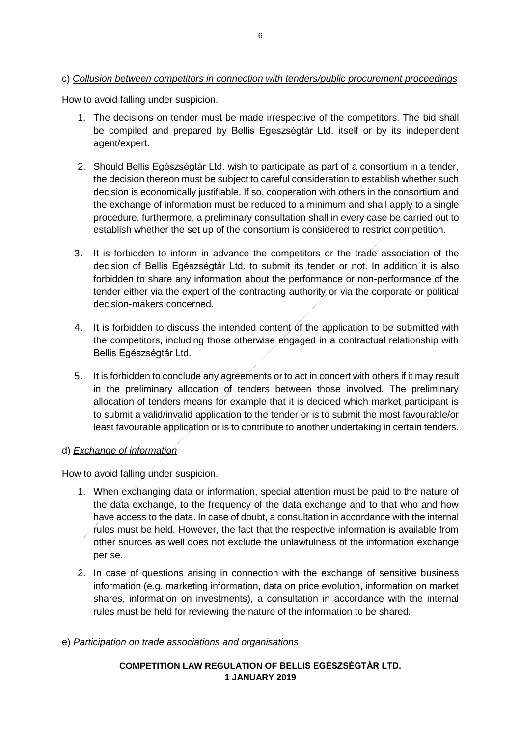# c) *Collusion between competitors in connection with tenders/public procurement proceedings*

How to avoid falling under suspicion.

- 1. The decisions on tender must be made irrespective of the competitors. The bid shall be compiled and prepared by Bellis Egészségtár Ltd. itself or by its independent agent/expert.
- 2. Should Bellis Egészségtár Ltd. wish to participate as part of a consortium in a tender, the decision thereon must be subject to careful consideration to establish whether such decision is economically justifiable. If so, cooperation with others in the consortium and the exchange of information must be reduced to a minimum and shall apply to a single procedure, furthermore, a preliminary consultation shall in every case be carried out to establish whether the set up of the consortium is considered to restrict competition.
- 3. It is forbidden to inform in advance the competitors or the trade association of the decision of Bellis Egészségtár Ltd. to submit its tender or not. In addition it is also forbidden to share any information about the performance or non-performance of the tender either via the expert of the contracting authority or via the corporate or political decision-makers concerned.
- 4. It is forbidden to discuss the intended content of the application to be submitted with the competitors, including those otherwise engaged in a contractual relationship with Bellis Egészségtár Ltd.
- 5. It is forbidden to conclude any agreements or to act in concert with others if it may result in the preliminary allocation of tenders between those involved. The preliminary allocation of tenders means for example that it is decided which market participant is to submit a valid/invalid application to the tender or is to submit the most favourable/or least favourable application or is to contribute to another undertaking in certain tenders.

#### d) *Exchange of information*

How to avoid falling under suspicion.

- 1. When exchanging data or information, special attention must be paid to the nature of the data exchange, to the frequency of the data exchange and to that who and how have access to the data. In case of doubt, a consultation in accordance with the internal rules must be held. However, the fact that the respective information is available from other sources as well does not exclude the unlawfulness of the information exchange per se.
- 2. In case of questions arising in connection with the exchange of sensitive business information (e.g. marketing information, data on price evolution, information on market shares, information on investments), a consultation in accordance with the internal rules must be held for reviewing the nature of the information to be shared.

#### e) *Participation on trade associations and organisations*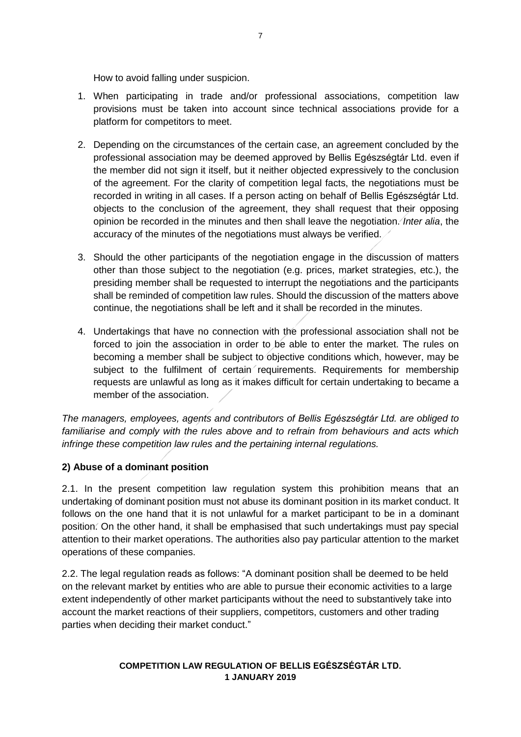How to avoid falling under suspicion.

- 1. When participating in trade and/or professional associations, competition law provisions must be taken into account since technical associations provide for a platform for competitors to meet.
- 2. Depending on the circumstances of the certain case, an agreement concluded by the professional association may be deemed approved by Bellis Egészségtár Ltd. even if the member did not sign it itself, but it neither objected expressively to the conclusion of the agreement. For the clarity of competition legal facts, the negotiations must be recorded in writing in all cases. If a person acting on behalf of Bellis Egészségtár Ltd. objects to the conclusion of the agreement, they shall request that their opposing opinion be recorded in the minutes and then shall leave the negotiation. *Inter alia*, the accuracy of the minutes of the negotiations must always be verified.
- 3. Should the other participants of the negotiation engage in the discussion of matters other than those subject to the negotiation (e.g. prices, market strategies, etc.), the presiding member shall be requested to interrupt the negotiations and the participants shall be reminded of competition law rules. Should the discussion of the matters above continue, the negotiations shall be left and it shall be recorded in the minutes.
- 4. Undertakings that have no connection with the professional association shall not be forced to join the association in order to be able to enter the market. The rules on becoming a member shall be subject to objective conditions which, however, may be subject to the fulfilment of certain requirements. Requirements for membership requests are unlawful as long as it makes difficult for certain undertaking to became a member of the association.

*The managers, employees, agents and contributors of Bellis Egészségtár Ltd. are obliged to familiarise and comply with the rules above and to refrain from behaviours and acts which infringe these competition law rules and the pertaining internal regulations.* 

#### **2) Abuse of a dominant position**

2.1. In the present competition law regulation system this prohibition means that an undertaking of dominant position must not abuse its dominant position in its market conduct. It follows on the one hand that it is not unlawful for a market participant to be in a dominant position. On the other hand, it shall be emphasised that such undertakings must pay special attention to their market operations. The authorities also pay particular attention to the market operations of these companies.

2.2. The legal regulation reads as follows: "A dominant position shall be deemed to be held on the relevant market by entities who are able to pursue their economic activities to a large extent independently of other market participants without the need to substantively take into account the market reactions of their suppliers, competitors, customers and other trading parties when deciding their market conduct."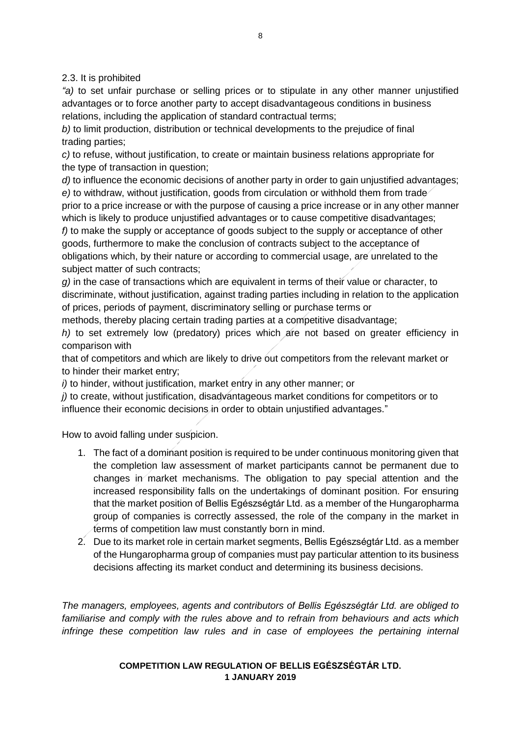2.3. It is prohibited

*"a)* to set unfair purchase or selling prices or to stipulate in any other manner unjustified advantages or to force another party to accept disadvantageous conditions in business relations, including the application of standard contractual terms;

*b)* to limit production, distribution or technical developments to the prejudice of final trading parties;

*c)* to refuse, without justification, to create or maintain business relations appropriate for the type of transaction in question;

*d)* to influence the economic decisions of another party in order to gain unjustified advantages; *e)* to withdraw, without justification, goods from circulation or withhold them from trade prior to a price increase or with the purpose of causing a price increase or in any other manner which is likely to produce unjustified advantages or to cause competitive disadvantages; *f)* to make the supply or acceptance of goods subject to the supply or acceptance of other goods, furthermore to make the conclusion of contracts subject to the acceptance of obligations which, by their nature or according to commercial usage, are unrelated to the subject matter of such contracts;

*g)* in the case of transactions which are equivalent in terms of their value or character, to discriminate, without justification, against trading parties including in relation to the application of prices, periods of payment, discriminatory selling or purchase terms or

methods, thereby placing certain trading parties at a competitive disadvantage;

*h*) to set extremely low (predatory) prices which are not based on greater efficiency in comparison with

that of competitors and which are likely to drive out competitors from the relevant market or to hinder their market entry;

*i)* to hinder, without justification, market entry in any other manner; or

*j)* to create, without justification, disadvantageous market conditions for competitors or to influence their economic decisions in order to obtain unjustified advantages."

How to avoid falling under suspicion.

- 1. The fact of a dominant position is required to be under continuous monitoring given that the completion law assessment of market participants cannot be permanent due to changes in market mechanisms. The obligation to pay special attention and the increased responsibility falls on the undertakings of dominant position. For ensuring that the market position of Bellis Egészségtár Ltd. as a member of the Hungaropharma group of companies is correctly assessed, the role of the company in the market in terms of competition law must constantly born in mind.
- 2. Due to its market role in certain market segments, Bellis Egészségtár Ltd. as a member of the Hungaropharma group of companies must pay particular attention to its business decisions affecting its market conduct and determining its business decisions.

*The managers, employees, agents and contributors of Bellis Egészségtár Ltd. are obliged to familiarise and comply with the rules above and to refrain from behaviours and acts which infringe these competition law rules and in case of employees the pertaining internal*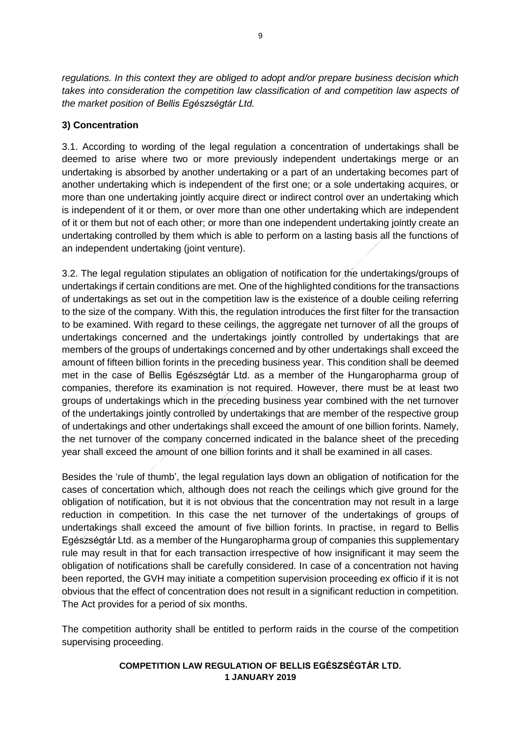*regulations. In this context they are obliged to adopt and/or prepare business decision which takes into consideration the competition law classification of and competition law aspects of the market position of Bellis Egészségtár Ltd.*

# **3) Concentration**

3.1. According to wording of the legal regulation a concentration of undertakings shall be deemed to arise where two or more previously independent undertakings merge or an undertaking is absorbed by another undertaking or a part of an undertaking becomes part of another undertaking which is independent of the first one; or a sole undertaking acquires, or more than one undertaking jointly acquire direct or indirect control over an undertaking which is independent of it or them, or over more than one other undertaking which are independent of it or them but not of each other; or more than one independent undertaking jointly create an undertaking controlled by them which is able to perform on a lasting basis all the functions of an independent undertaking (joint venture).

3.2. The legal regulation stipulates an obligation of notification for the undertakings/groups of undertakings if certain conditions are met. One of the highlighted conditions for the transactions of undertakings as set out in the competition law is the existence of a double ceiling referring to the size of the company. With this, the regulation introduces the first filter for the transaction to be examined. With regard to these ceilings, the aggregate net turnover of all the groups of undertakings concerned and the undertakings jointly controlled by undertakings that are members of the groups of undertakings concerned and by other undertakings shall exceed the amount of fifteen billion forints in the preceding business year. This condition shall be deemed met in the case of Bellis Egészségtár Ltd. as a member of the Hungaropharma group of companies, therefore its examination is not required. However, there must be at least two groups of undertakings which in the preceding business year combined with the net turnover of the undertakings jointly controlled by undertakings that are member of the respective group of undertakings and other undertakings shall exceed the amount of one billion forints. Namely, the net turnover of the company concerned indicated in the balance sheet of the preceding year shall exceed the amount of one billion forints and it shall be examined in all cases.

Besides the 'rule of thumb', the legal regulation lays down an obligation of notification for the cases of concertation which, although does not reach the ceilings which give ground for the obligation of notification, but it is not obvious that the concentration may not result in a large reduction in competition. In this case the net turnover of the undertakings of groups of undertakings shall exceed the amount of five billion forints. In practise, in regard to Bellis Egészségtár Ltd. as a member of the Hungaropharma group of companies this supplementary rule may result in that for each transaction irrespective of how insignificant it may seem the obligation of notifications shall be carefully considered. In case of a concentration not having been reported, the GVH may initiate a competition supervision proceeding ex officio if it is not obvious that the effect of concentration does not result in a significant reduction in competition. The Act provides for a period of six months.

The competition authority shall be entitled to perform raids in the course of the competition supervising proceeding.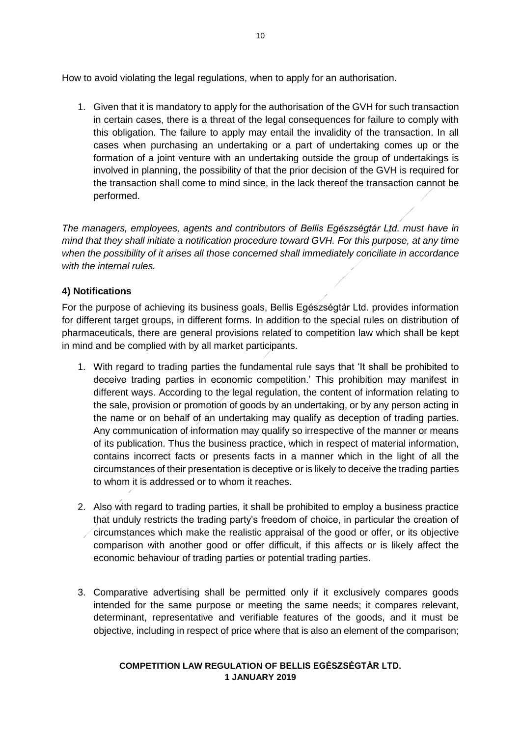How to avoid violating the legal regulations, when to apply for an authorisation.

1. Given that it is mandatory to apply for the authorisation of the GVH for such transaction in certain cases, there is a threat of the legal consequences for failure to comply with this obligation. The failure to apply may entail the invalidity of the transaction. In all cases when purchasing an undertaking or a part of undertaking comes up or the formation of a joint venture with an undertaking outside the group of undertakings is involved in planning, the possibility of that the prior decision of the GVH is required for the transaction shall come to mind since, in the lack thereof the transaction cannot be performed.

*The managers, employees, agents and contributors of Bellis Egészségtár Ltd. must have in mind that they shall initiate a notification procedure toward GVH. For this purpose, at any time when the possibility of it arises all those concerned shall immediately conciliate in accordance with the internal rules.* 

# **4) Notifications**

For the purpose of achieving its business goals, Bellis Egészségtár Ltd. provides information for different target groups, in different forms. In addition to the special rules on distribution of pharmaceuticals, there are general provisions related to competition law which shall be kept in mind and be complied with by all market participants.

- 1. With regard to trading parties the fundamental rule says that 'It shall be prohibited to deceive trading parties in economic competition.' This prohibition may manifest in different ways. According to the legal regulation, the content of information relating to the sale, provision or promotion of goods by an undertaking, or by any person acting in the name or on behalf of an undertaking may qualify as deception of trading parties. Any communication of information may qualify so irrespective of the manner or means of its publication. Thus the business practice, which in respect of material information, contains incorrect facts or presents facts in a manner which in the light of all the circumstances of their presentation is deceptive or is likely to deceive the trading parties to whom it is addressed or to whom it reaches.
- 2. Also with regard to trading parties, it shall be prohibited to employ a business practice that unduly restricts the trading party's freedom of choice, in particular the creation of circumstances which make the realistic appraisal of the good or offer, or its objective comparison with another good or offer difficult, if this affects or is likely affect the economic behaviour of trading parties or potential trading parties.
- 3. Comparative advertising shall be permitted only if it exclusively compares goods intended for the same purpose or meeting the same needs; it compares relevant, determinant, representative and verifiable features of the goods, and it must be objective, including in respect of price where that is also an element of the comparison;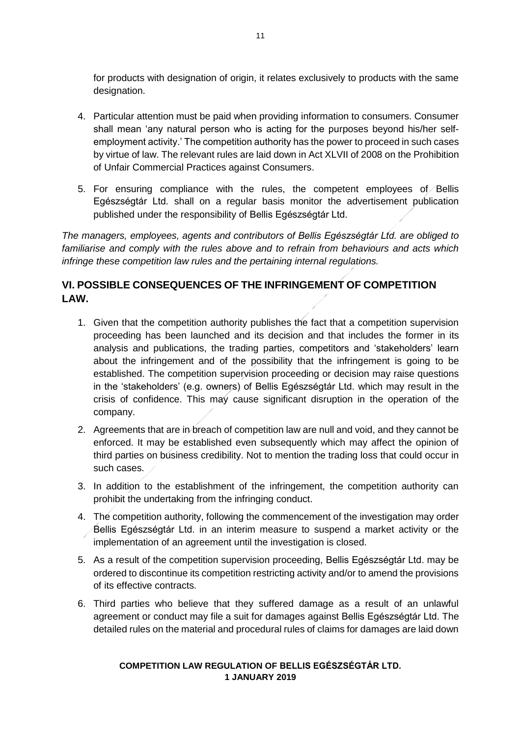for products with designation of origin, it relates exclusively to products with the same designation.

- 4. Particular attention must be paid when providing information to consumers. Consumer shall mean 'any natural person who is acting for the purposes beyond his/her selfemployment activity.' The competition authority has the power to proceed in such cases by virtue of law. The relevant rules are laid down in Act XLVII of 2008 on the Prohibition of Unfair Commercial Practices against Consumers.
- 5. For ensuring compliance with the rules, the competent employees of *Bellis* Egészségtár Ltd. shall on a regular basis monitor the advertisement publication published under the responsibility of Bellis Egészségtár Ltd.

*The managers, employees, agents and contributors of Bellis Egészségtár Ltd. are obliged to familiarise and comply with the rules above and to refrain from behaviours and acts which infringe these competition law rules and the pertaining internal regulations.* 

# **VI. POSSIBLE CONSEQUENCES OF THE INFRINGEMENT OF COMPETITION LAW.**

- 1. Given that the competition authority publishes the fact that a competition supervision proceeding has been launched and its decision and that includes the former in its analysis and publications, the trading parties, competitors and 'stakeholders' learn about the infringement and of the possibility that the infringement is going to be established. The competition supervision proceeding or decision may raise questions in the 'stakeholders' (e.g. owners) of Bellis Egészségtár Ltd. which may result in the crisis of confidence. This may cause significant disruption in the operation of the company.
- 2. Agreements that are in breach of competition law are null and void, and they cannot be enforced. It may be established even subsequently which may affect the opinion of third parties on business credibility. Not to mention the trading loss that could occur in such cases.
- 3. In addition to the establishment of the infringement, the competition authority can prohibit the undertaking from the infringing conduct.
- 4. The competition authority, following the commencement of the investigation may order Bellis Egészségtár Ltd. in an interim measure to suspend a market activity or the implementation of an agreement until the investigation is closed.
- 5. As a result of the competition supervision proceeding, Bellis Egészségtár Ltd. may be ordered to discontinue its competition restricting activity and/or to amend the provisions of its effective contracts.
- 6. Third parties who believe that they suffered damage as a result of an unlawful agreement or conduct may file a suit for damages against Bellis Egészségtár Ltd. The detailed rules on the material and procedural rules of claims for damages are laid down